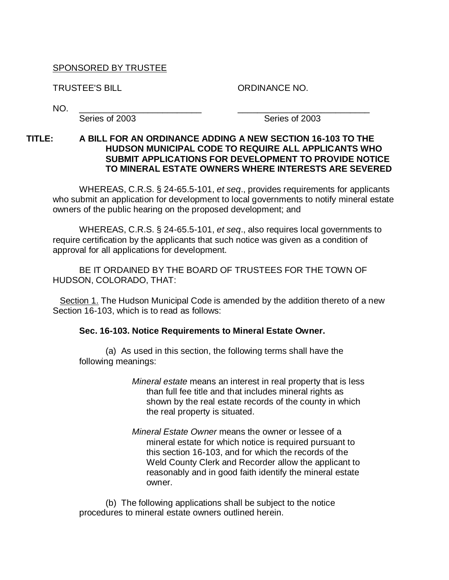## SPONSORED BY TRUSTEE

TRUSTEE'S BILL ORDINANCE NO.

NO. \_\_\_\_\_\_\_\_\_\_\_\_\_\_\_\_\_\_\_\_\_\_\_\_\_ \_\_\_\_\_\_\_\_\_\_\_\_\_\_\_\_\_\_\_\_\_\_\_\_\_\_\_

Series of 2003 Series of 2003

## **TITLE: A BILL FOR AN ORDINANCE ADDING A NEW SECTION 16-103 TO THE HUDSON MUNICIPAL CODE TO REQUIRE ALL APPLICANTS WHO SUBMIT APPLICATIONS FOR DEVELOPMENT TO PROVIDE NOTICE TO MINERAL ESTATE OWNERS WHERE INTERESTS ARE SEVERED**

WHEREAS, C.R.S. § 24-65.5-101, *et seq*., provides requirements for applicants who submit an application for development to local governments to notify mineral estate owners of the public hearing on the proposed development; and

WHEREAS, C.R.S. § 24-65.5-101, *et seq*., also requires local governments to require certification by the applicants that such notice was given as a condition of approval for all applications for development.

BE IT ORDAINED BY THE BOARD OF TRUSTEES FOR THE TOWN OF HUDSON, COLORADO, THAT:

**Section 1.** The Hudson Municipal Code is amended by the addition thereto of a new Section 16-103, which is to read as follows:

## **Sec. 16-103. Notice Requirements to Mineral Estate Owner.**

(a) As used in this section, the following terms shall have the following meanings:

- *Mineral estate* means an interest in real property that is less than full fee title and that includes mineral rights as shown by the real estate records of the county in which the real property is situated.
- *Mineral Estate Owner* means the owner or lessee of a mineral estate for which notice is required pursuant to this section 16-103, and for which the records of the Weld County Clerk and Recorder allow the applicant to reasonably and in good faith identify the mineral estate owner.

(b) The following applications shall be subject to the notice procedures to mineral estate owners outlined herein.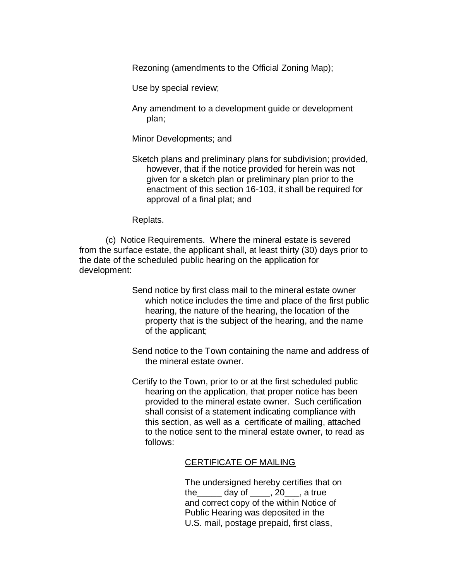Rezoning (amendments to the Official Zoning Map);

Use by special review;

Any amendment to a development guide or development plan;

Minor Developments; and

Sketch plans and preliminary plans for subdivision; provided, however, that if the notice provided for herein was not given for a sketch plan or preliminary plan prior to the enactment of this section 16-103, it shall be required for approval of a final plat; and

Replats.

(c) Notice Requirements. Where the mineral estate is severed from the surface estate, the applicant shall, at least thirty (30) days prior to the date of the scheduled public hearing on the application for development:

- Send notice by first class mail to the mineral estate owner which notice includes the time and place of the first public hearing, the nature of the hearing, the location of the property that is the subject of the hearing, and the name of the applicant;
- Send notice to the Town containing the name and address of the mineral estate owner.
- Certify to the Town, prior to or at the first scheduled public hearing on the application, that proper notice has been provided to the mineral estate owner. Such certification shall consist of a statement indicating compliance with this section, as well as a certificate of mailing, attached to the notice sent to the mineral estate owner, to read as follows:

## CERTIFICATE OF MAILING

The undersigned hereby certifies that on the  $\_\_\_\$  day of  $\_\_\_\,, 20\_\_\,,$  a true and correct copy of the within Notice of Public Hearing was deposited in the U.S. mail, postage prepaid, first class,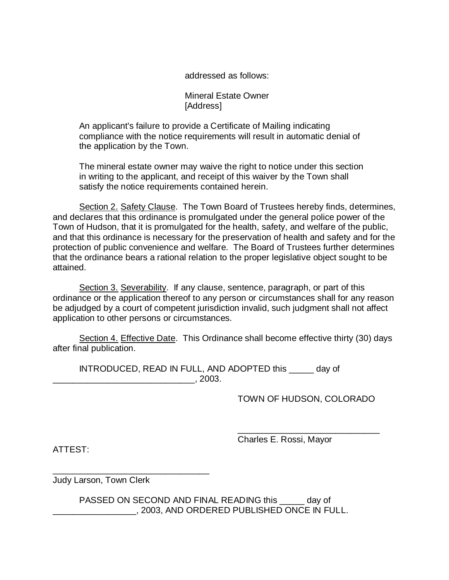addressed as follows:

Mineral Estate Owner [Address]

An applicant's failure to provide a Certificate of Mailing indicating compliance with the notice requirements will result in automatic denial of the application by the Town.

The mineral estate owner may waive the right to notice under this section in writing to the applicant, and receipt of this waiver by the Town shall satisfy the notice requirements contained herein.

Section 2. Safety Clause. The Town Board of Trustees hereby finds, determines, and declares that this ordinance is promulgated under the general police power of the Town of Hudson, that it is promulgated for the health, safety, and welfare of the public, and that this ordinance is necessary for the preservation of health and safety and for the protection of public convenience and welfare. The Board of Trustees further determines that the ordinance bears a rational relation to the proper legislative object sought to be attained.

Section 3. Severability. If any clause, sentence, paragraph, or part of this ordinance or the application thereof to any person or circumstances shall for any reason be adjudged by a court of competent jurisdiction invalid, such judgment shall not affect application to other persons or circumstances.

Section 4. Effective Date. This Ordinance shall become effective thirty (30) days after final publication.

INTRODUCED, READ IN FULL, AND ADOPTED this \_\_\_\_\_ day of \_\_\_\_\_\_\_\_\_\_\_\_\_\_\_\_\_\_\_\_\_\_\_\_\_\_\_\_\_, 2003.

TOWN OF HUDSON, COLORADO

\_\_\_\_\_\_\_\_\_\_\_\_\_\_\_\_\_\_\_\_\_\_\_\_\_\_\_\_\_

ATTEST:

Charles E. Rossi, Mayor

Judy Larson, Town Clerk

\_\_\_\_\_\_\_\_\_\_\_\_\_\_\_\_\_\_\_\_\_\_\_\_\_\_\_\_\_\_\_\_

PASSED ON SECOND AND FINAL READING this day of \_\_\_\_\_\_\_\_\_\_\_\_\_\_\_\_\_, 2003, AND ORDERED PUBLISHED ONCE IN FULL.